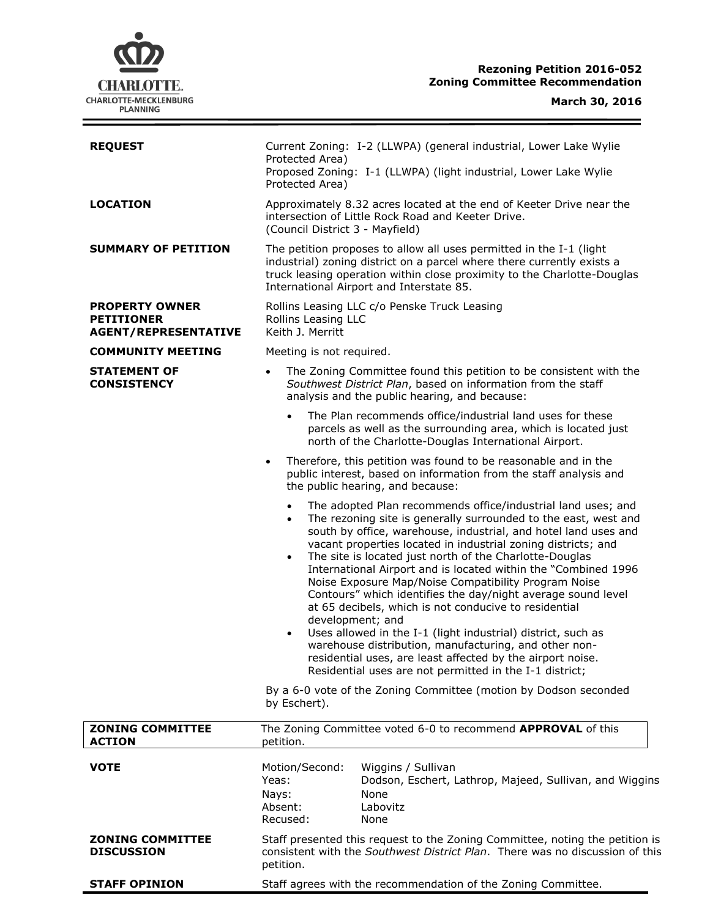# **CHARLOTTE.** CHARLOTTE-MECKLENBURG<br>PLANNING

 $\equiv$ 

| <b>REQUEST</b>                                                            | Current Zoning: I-2 (LLWPA) (general industrial, Lower Lake Wylie<br>Protected Area)<br>Proposed Zoning: I-1 (LLWPA) (light industrial, Lower Lake Wylie<br>Protected Area)                                                                                                                                                                                                                                                                                                                                                                                                                                                                                                                                                                                                        |
|---------------------------------------------------------------------------|------------------------------------------------------------------------------------------------------------------------------------------------------------------------------------------------------------------------------------------------------------------------------------------------------------------------------------------------------------------------------------------------------------------------------------------------------------------------------------------------------------------------------------------------------------------------------------------------------------------------------------------------------------------------------------------------------------------------------------------------------------------------------------|
| <b>LOCATION</b>                                                           | Approximately 8.32 acres located at the end of Keeter Drive near the<br>intersection of Little Rock Road and Keeter Drive.<br>(Council District 3 - Mayfield)                                                                                                                                                                                                                                                                                                                                                                                                                                                                                                                                                                                                                      |
| <b>SUMMARY OF PETITION</b>                                                | The petition proposes to allow all uses permitted in the I-1 (light<br>industrial) zoning district on a parcel where there currently exists a<br>truck leasing operation within close proximity to the Charlotte-Douglas<br>International Airport and Interstate 85.                                                                                                                                                                                                                                                                                                                                                                                                                                                                                                               |
| <b>PROPERTY OWNER</b><br><b>PETITIONER</b><br><b>AGENT/REPRESENTATIVE</b> | Rollins Leasing LLC c/o Penske Truck Leasing<br>Rollins Leasing LLC<br>Keith J. Merritt                                                                                                                                                                                                                                                                                                                                                                                                                                                                                                                                                                                                                                                                                            |
| <b>COMMUNITY MEETING</b>                                                  | Meeting is not required.                                                                                                                                                                                                                                                                                                                                                                                                                                                                                                                                                                                                                                                                                                                                                           |
| <b>STATEMENT OF</b><br><b>CONSISTENCY</b>                                 | The Zoning Committee found this petition to be consistent with the<br>$\bullet$<br>Southwest District Plan, based on information from the staff<br>analysis and the public hearing, and because:                                                                                                                                                                                                                                                                                                                                                                                                                                                                                                                                                                                   |
|                                                                           | The Plan recommends office/industrial land uses for these<br>$\bullet$<br>parcels as well as the surrounding area, which is located just<br>north of the Charlotte-Douglas International Airport.                                                                                                                                                                                                                                                                                                                                                                                                                                                                                                                                                                                  |
|                                                                           | Therefore, this petition was found to be reasonable and in the<br>$\bullet$<br>public interest, based on information from the staff analysis and<br>the public hearing, and because:                                                                                                                                                                                                                                                                                                                                                                                                                                                                                                                                                                                               |
|                                                                           | The adopted Plan recommends office/industrial land uses; and<br>$\bullet$<br>The rezoning site is generally surrounded to the east, west and<br>$\bullet$<br>south by office, warehouse, industrial, and hotel land uses and<br>vacant properties located in industrial zoning districts; and<br>The site is located just north of the Charlotte-Douglas<br>$\bullet$<br>International Airport and is located within the "Combined 1996<br>Noise Exposure Map/Noise Compatibility Program Noise<br>Contours" which identifies the day/night average sound level<br>at 65 decibels, which is not conducive to residential<br>development; and<br>Uses allowed in the I-1 (light industrial) district, such as<br>$\bullet$<br>warehouse distribution, manufacturing, and other non- |
|                                                                           | residential uses, are least affected by the airport noise.<br>Residential uses are not permitted in the I-1 district;                                                                                                                                                                                                                                                                                                                                                                                                                                                                                                                                                                                                                                                              |
|                                                                           | By a 6-0 vote of the Zoning Committee (motion by Dodson seconded<br>by Eschert).                                                                                                                                                                                                                                                                                                                                                                                                                                                                                                                                                                                                                                                                                                   |
| <b>ZONING COMMITTEE</b><br><b>ACTION</b>                                  | The Zoning Committee voted 6-0 to recommend APPROVAL of this<br>petition.                                                                                                                                                                                                                                                                                                                                                                                                                                                                                                                                                                                                                                                                                                          |
| <b>VOTE</b>                                                               | Motion/Second:<br>Wiggins / Sullivan<br>Yeas:<br>Dodson, Eschert, Lathrop, Majeed, Sullivan, and Wiggins<br>None<br>Nays:<br>Absent:<br>Labovitz<br>Recused:<br>None                                                                                                                                                                                                                                                                                                                                                                                                                                                                                                                                                                                                               |
| <b>ZONING COMMITTEE</b><br><b>DISCUSSION</b>                              | Staff presented this request to the Zoning Committee, noting the petition is<br>consistent with the Southwest District Plan. There was no discussion of this<br>petition.                                                                                                                                                                                                                                                                                                                                                                                                                                                                                                                                                                                                          |
| <b>STAFF OPINION</b>                                                      | Staff agrees with the recommendation of the Zoning Committee.                                                                                                                                                                                                                                                                                                                                                                                                                                                                                                                                                                                                                                                                                                                      |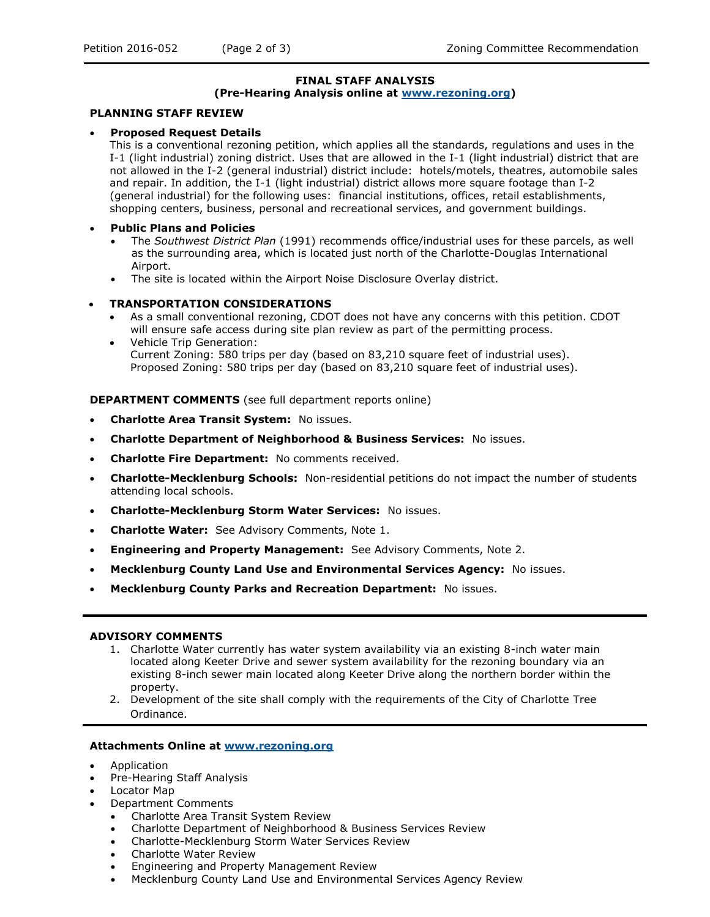# **FINAL STAFF ANALYSIS**

#### **(Pre-Hearing Analysis online at [www.rezoning.org\)](http://www.rezoning.org/)**

## **PLANNING STAFF REVIEW**

# **Proposed Request Details**

This is a conventional rezoning petition, which applies all the standards, regulations and uses in the I-1 (light industrial) zoning district. Uses that are allowed in the I-1 (light industrial) district that are not allowed in the I-2 (general industrial) district include: hotels/motels, theatres, automobile sales and repair. In addition, the I-1 (light industrial) district allows more square footage than I-2 (general industrial) for the following uses: financial institutions, offices, retail establishments, shopping centers, business, personal and recreational services, and government buildings.

#### **Public Plans and Policies**

- The *Southwest District Plan* (1991) recommends office/industrial uses for these parcels, as well as the surrounding area, which is located just north of the Charlotte-Douglas International Airport.
- The site is located within the Airport Noise Disclosure Overlay district.

## **TRANSPORTATION CONSIDERATIONS**

- As a small conventional rezoning, CDOT does not have any concerns with this petition. CDOT will ensure safe access during site plan review as part of the permitting process.
- Vehicle Trip Generation: Current Zoning: 580 trips per day (based on 83,210 square feet of industrial uses). Proposed Zoning: 580 trips per day (based on 83,210 square feet of industrial uses).

**DEPARTMENT COMMENTS** (see full department reports online)

- **Charlotte Area Transit System:** No issues.
- **Charlotte Department of Neighborhood & Business Services:** No issues.
- **Charlotte Fire Department:** No comments received.
- **Charlotte-Mecklenburg Schools:** Non-residential petitions do not impact the number of students attending local schools.
- **Charlotte-Mecklenburg Storm Water Services:** No issues.
- **Charlotte Water:** See Advisory Comments, Note 1.
- **Engineering and Property Management:** See Advisory Comments, Note 2.
- **Mecklenburg County Land Use and Environmental Services Agency:** No issues.
- **Mecklenburg County Parks and Recreation Department:** No issues.

## **ADVISORY COMMENTS**

- 1. Charlotte Water currently has water system availability via an existing 8-inch water main located along Keeter Drive and sewer system availability for the rezoning boundary via an existing 8-inch sewer main located along Keeter Drive along the northern border within the property.
- 2. Development of the site shall comply with the requirements of the City of Charlotte Tree Ordinance.

#### **Attachments Online at [www.rezoning.org](http://www.rezoning.org/)**

- Application
- Pre-Hearing Staff Analysis
- Locator Map
- Department Comments
	- Charlotte Area Transit System Review
	- Charlotte Department of Neighborhood & Business Services Review
	- Charlotte-Mecklenburg Storm Water Services Review
	- Charlotte Water Review
	- Engineering and Property Management Review
	- Mecklenburg County Land Use and Environmental Services Agency Review